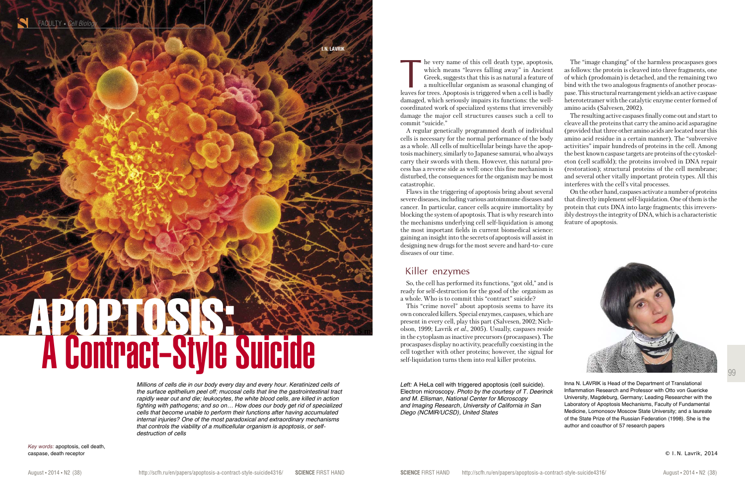99

Inna N. LAVRIK is Head of the Department of Translational Inflammation Research and Professor with Otto von Guericke University, Magdeburg, Germany; Leading Researcher with the Laboratory of Apoptosis Mechanisms, Faculty of Fundamental Medicine, Lomonosov Moscow State University; and a laureate of the State Prize of the Russian Federation (1998). She is the author and coauthor of 57 research papers

*Millions of cells die in our body every day and every hour. Keratinized cells of the surface epithelium peel off; mucosal cells that line the gastrointestinal tract rapidly wear out and die; leukocytes, the white blood cells, are killed in action fighting with pathogens; and so on… How does our body get rid of specialized cells that become unable to perform their functions after having accumulated internal injuries? One of the most paradoxical and extraordinary mechanisms that controls the viability of a multicellular organism is apoptosis, or selfdestruction of cells*

he very name of this cell death type, apoptosis, which means "leaves falling away" in Ancient Greek, suggests that this is as natural a feature of a multicellular organism as seasonal changing of leaves for trees. Apoptosis is triggered when a cell is badly damaged, which seriously impairs its functions: the wellcoordinated work of specialized systems that irreversibly damage the major cell structures causes such a cell to commit "suicide."

A regular genetically programmed death of individual cells is necessary for the normal performance of the body as a whole. All cells of multicellular beings have the apoptosis machinery, similarly to Japanese samurai, who always carry their swords with them. However, this natural process has a reverse side as well: once this fine mechanism is disturbed, the consequences for the organism may be most catastrophic.

Flaws in the triggering of apoptosis bring about several severe diseases, including various autoimmune diseases and cancer. In particular, cancer cells acquire immortality by blocking the system of apoptosis. That is why research into the mechanisms underlying cell self-liquidation is among the most important fields in current biomedical science: gaining an insight into the secrets of apoptosis will assist in designing new drugs for the most severe and hard-to- cure diseases of our time.

## Killer enzymes

## APOPTOSISE A Contract-Style Suicide

So, the cell has performed its functions, "got old," and is ready for self-destruction for the good of the organism as a whole. Who is to commit this "contract" suicide?

This "crime novel" about apoptosis seems to have its own concealed killers. Special enzymes, caspases, which are present in every cell, play this part (Salvesen, 2002; Nicholson, 1999; Lavrik *et al.*, 2005). Usually, caspases reside in the cytoplasm as inactive precursors (procaspases). The procaspases display no activity, peacefully coexisting in the cell together with other proteins; however, the signal for self-liquidation turns them into real killer proteins.

The "image changing" of the harmless procaspases goes as follows: the protein is cleaved into three fragments, one of which (prodomain) is detached, and the remaining two bind with the two analogous fragments of another procaspase. This structural rearrangement yields an active caspase heterotetramer with the catalytic enzyme center formed of amino acids (Salvesen, 2002).

The resulting active caspases finally come out and start to cleave all the proteins that carry the amino acid asparagine (provided that three other amino acids are located near this amino acid residue in a certain manner). The "subversive activities" impair hundreds of proteins in the cell. Among the best known caspase targets are proteins of the cytoskeleton (cell scaffold); the proteins involved in DNA repair (restoration); structural proteins of the cell membrane; and several other vitally important protein types. All this interferes with the cell's vital processes.

On the other hand, caspases activate a number of proteins that directly implement self-liquidation. One of them is the protein that cuts DNA into large fragments; this irreversibly destroys the integrity of DNA, which is a characteristic feature of apoptosis.



*Key words:* аpoptosis, cell death, caspase, death receptor

*Left:* A HeLa cell with triggered apoptosis (cell suicide). Electron microscopy. *Photo by the courtesy of T. Deerinck and M. Ellisman, National Center for Microscopy and Imaging Research, University of California in San Diego (NCMIR/UCSD), United States*

*© I. N. Lavrik, 2014*

**I. N. LAVRIK**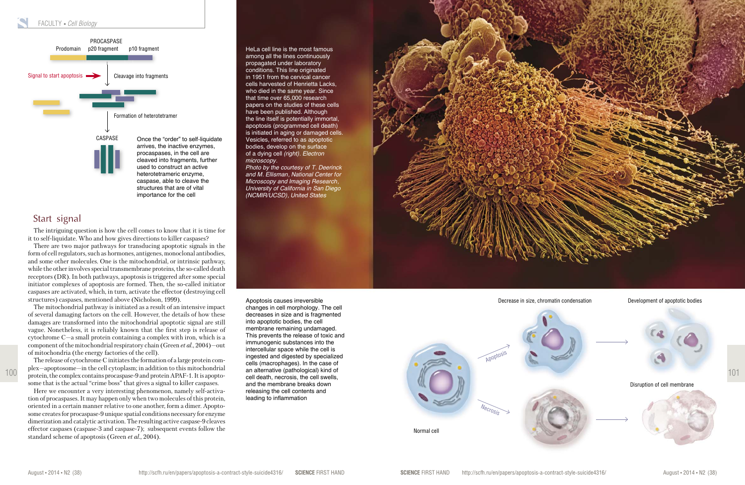101

HeLa cell line is the most famous among all the lines continuously propagated under laboratory conditions. This line originated in 1951 from the cervical cancer cells harvested of Henrietta Lacks, who died in the same year. Since that time over 65,000 research papers on the studies of these cells have been published. Although the line itself is potentially immortal, apoptosis (programmed cell death) is initiated in aging or damaged cells. Vesicles, referred to as apoptotic bodies, develop on the surface of a dying cell *(right)*. *Electron microscopy.*

*Photo by the courtesy of T. Deerinck and M. Ellisman, National Center for Microscopy and Imaging Research, University of California in San Diego (NCMIR/UCSD), United States*

Apoptosis causes irreversible changes in cell morphology. The cell decreases in size and is fragmented into apoptotic bodies, the cell membrane remaining undamaged. This prevents the release of toxic and immunogenic substances into the intercellular space while the cell is ingested and digested by specialized cells (macrophages). In the case of an alternative (pathological) kind of cell death, necrosis, the cell swells, and the membrane breaks down releasing the cell contents and leading to inflammation



The intriguing question is how the cell comes to know that it is time for it to self-liquidate. Who and how gives directions to killer caspases?

There are two major pathways for transducing apoptotic signals in the form of cell regulators, such as hormones, antigenes, monoclonal antibodies, and some other molecules. One is the mitochondrial, or intrinsic pathway, while the other involves special transmembrane proteins, the so-called death receptors (DR). In both pathways, apoptosis is triggered after some special initiator complexes of apoptosis are formed. Then, the so-called initiator caspases are activated, which, in turn, activate the effector (destroying cell structures) caspases, mentioned above (Nicholson, 1999).

The mitochondrial pathway is initiated as a result of an intensive impact of several damaging factors on the cell. However, the details of how these damages are transformed into the mitochondrial apoptotic signal are still vague. Nonetheless, it is reliably known that the first step is release of cytochrome C—a small protein containing a complex with iron, which is a component of the mitochondrial respiratory chain (Green *et al*., 2004)—out of mitochondria (the energy factories of the cell).

The release of cytochrome C initiates the formation of a large protein complex—apoptosome—in the cell cytoplasm; in addition to this mitochondrial protein, the complex contains procaspase-9 and protein APAF-1. It is apoptosome that is the actual "crime boss" that gives a signal to killer caspases.

Here we encounter a very interesting phenomenon, namely self-activation of procaspases. It may happen only when two molecules of this protein, oriented in a certain manner relative to one another, form a dimer. Apoptosome creates for procaspase-9 unique spatial conditions necessary for enzyme dimerization and catalytic activation. The resulting active caspase-9 cleaves effector caspases (caspase-3 and caspase-7); subsequent events follow the standard scheme of apoptosis (Green *et al*., 2004).

Decrease in size, chromatin condensation Development of apoptotic bodies







cleaved into fragments, further used to construct an active heterotetrameric enzyme, caspase, able to cleave the structures that are of vital importance for the cell

## Start signal